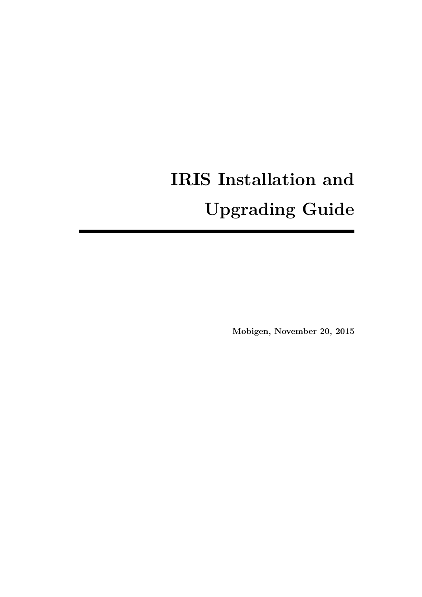# **IRIS Installation and Upgrading Guide**

**Mobigen, November 20, 2015**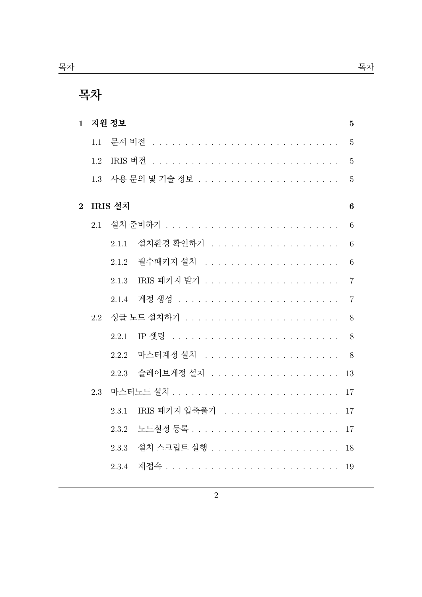| $\mathbf{1}$   |     | 지원 정보   |               | $\mathbf{5}$     |
|----------------|-----|---------|---------------|------------------|
|                | 1.1 |         |               | $\overline{5}$   |
|                | 1.2 |         |               | $\overline{5}$   |
|                | 1.3 |         |               | $\overline{5}$   |
| $\overline{2}$ |     | IRIS 설치 |               | $\boldsymbol{6}$ |
|                | 2.1 |         |               | 6                |
|                |     | 2.1.1   |               | 6                |
|                |     | 2.1.2   |               | 6                |
|                |     | 2.1.3   |               | $\overline{7}$   |
|                |     | 2.1.4   |               | $\overline{7}$   |
|                | 2.2 |         |               | 8                |
|                |     | 2.2.1   |               | 8                |
|                |     | 2.2.2   |               | 8                |
|                |     | 2.2.3   |               | 13               |
|                | 2.3 |         |               | 17               |
|                |     | 2.3.1   | IRIS 패키지 압축풀기 | 17               |
|                |     | 2.3.2   |               | 17               |
|                |     | 2.3.3   |               | 18               |
|                |     | 2.3.4   |               | 19               |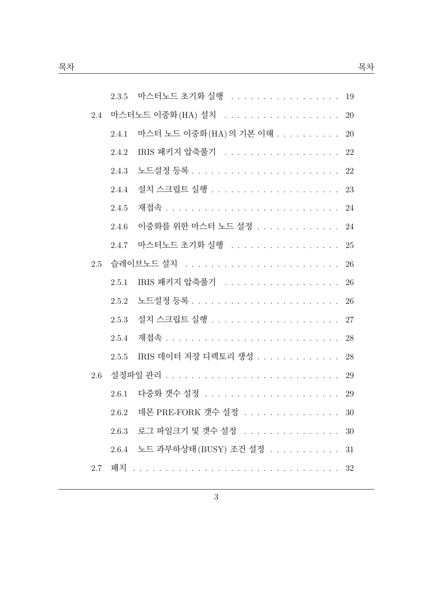|     |       | 2.3.5 마스터노드 초기화 실행 19      |    |
|-----|-------|----------------------------|----|
| 2.4 |       |                            |    |
|     | 2.4.1 | 마스터 노드 이중화 (HA) 의 기본 이해 20 |    |
|     | 2.4.2 | IRIS 패키지 압축풀기 22           |    |
|     | 2.4.3 |                            |    |
|     | 2.4.4 |                            |    |
|     | 2.4.5 |                            | 24 |
|     | 2.4.6 | 이중화를 위한 마스터 노드 설정 24       |    |
|     | 2.4.7 | 마스터노드 초기화 실행 25            |    |
| 2.5 |       |                            | 26 |
|     | 2.5.1 | IRIS 패키지 압축풀기 26           |    |
|     | 2.5.2 |                            | 26 |
|     | 2.5.3 |                            | 27 |
|     | 2.5.4 |                            |    |
|     | 2.5.5 | IRIS 데이터 저장 디렉토리 생성 28     |    |
| 2.6 |       |                            |    |
|     | 2.6.1 |                            | 29 |
|     | 2.6.2 | 데몬 PRE-FORK 갯수 설정          | 30 |
|     |       | 2.6.3 로그 파일크기 및 갯수 설정      | 30 |
|     |       | 2.6.4 노드 과부하상태(BUSY) 조건 설정 | 31 |
| 2.7 |       |                            | 32 |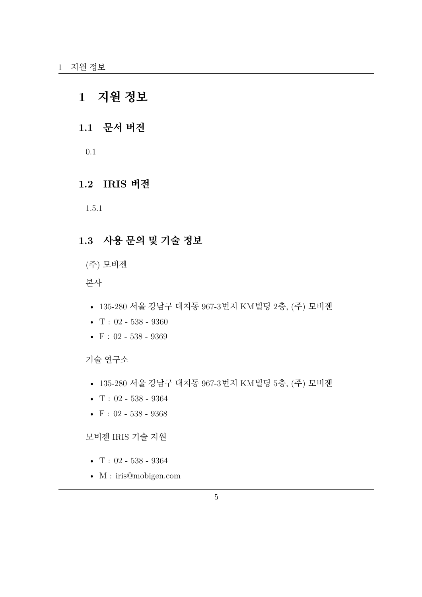# <span id="page-4-0"></span>**1 지원 정보**

# <span id="page-4-1"></span>**1.1 문서 버전**

0.1

# **1.2 IRIS 버전**

1.5.1

# <span id="page-4-2"></span>**1.3 사용 문의 및 기술 정보**

(주) 모비젠

본사

- 135-280 서울 강남구 대치동 967-3번지 KM빌딩 2층, (주) 모비젠
- $T: 02 538 9360$
- F : 02 538 9369

기술 연구소

- 135-280 서울 강남구 대치동 967-3번지 KM빌딩 5층, (주) 모비젠
- $T: 02 538 9364$
- $F: 02 538 9368$

모비젠 IRIS 기술 지원

- $T: 02 538 9364$
- M : iris@mobigen.com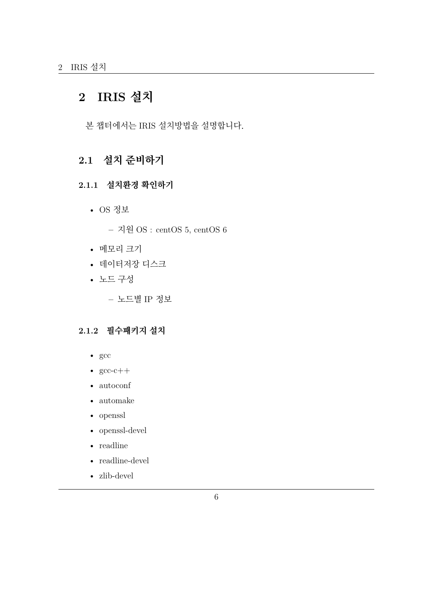# <span id="page-5-0"></span>**2 IRIS 설치**

본 챕터에서는 IRIS 설치방법을 설명합니다.

# <span id="page-5-1"></span>**2.1 설치 준비하기**

# <span id="page-5-2"></span>**2.1.1 설치환경 확인하기**

• OS 정보

**–** 지원 OS : centOS 5, centOS 6

- 메모리 크기
- 데이터저장 디스크
- 노드 구성

**–** 노드별 IP 정보

#### <span id="page-5-3"></span>**2.1.2 필수패키지 설치**

- gcc
- $\sec$ -c++
- autoconf
- automake
- openssl
- openssl-devel
- readline
- readline-devel
- zlib-devel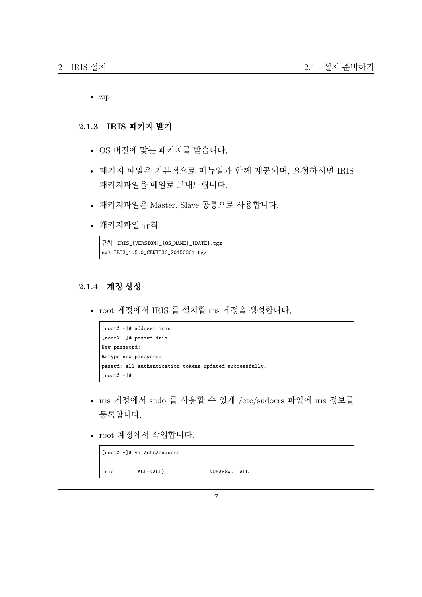• zip

#### <span id="page-6-0"></span>**2.1.3 IRIS 패키지 받기**

- OS 버전에 맞는 패키지를 받습니다.
- 패키지 파일은 기본적으로 매뉴얼과 함께 제공되며, 요청하시면 IRIS 패키지파일을 메일로 보내드립니다.
- 패키지파일은 Master, Slave 공통으로 사용합니다.
- 패키지파일 규칙

```
규칙 : IRIS_[VERSION]_[OS_NAME]_[DATE].tgz
ex) IRIS_1.5.0_CENTOS6_20150301.tgz
```
## <span id="page-6-1"></span>**2.1.4 계정 생성**

• root 계정에서 IRIS 를 설치할 iris 계정을 생성합니다.

```
[root@ ~]# adduser iris
[root@ ~]# passwd iris
New password:
Retype new password:
passwd: all authentication tokens updated successfully.
[root@ ~]#
```
- iris 계정에서 sudo 를 사용할 수 있게 /etc/sudoers 파일에 iris 정보를 등록합니다.
- root 계정에서 작업합니다.

```
[root@ ~]# vi /etc/sudoers
~~~
iris ALL=(ALL) NOPASSWD: ALL
```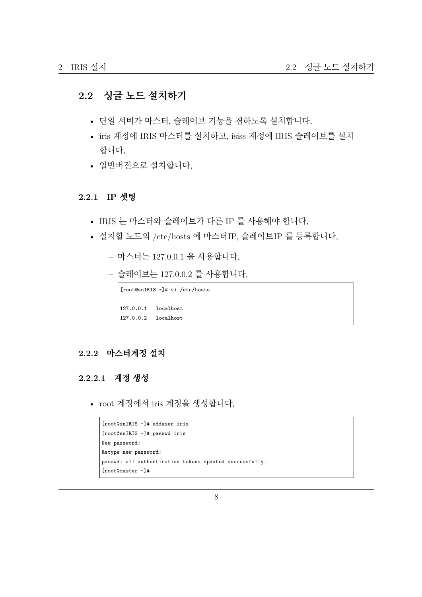# <span id="page-7-0"></span>**2.2 싱글 노드 설치하기**

- 단일 서버가 마스터, 슬레이브 기능을 겸하도록 설치합니다.
- iris 계정에 IRIS 마스터를 설치하고, isiss 계정에 IRIS 슬레이브를 설치 합니다.
- 일반버전으로 설치합니다.

#### <span id="page-7-1"></span>**2.2.1 IP 셋팅**

- IRIS 는 마스터와 슬레이브가 다른 IP 를 사용해야 합니다.
- 설치할 노드의 /etc/hosts 에 마스터IP, 슬레이브IP 를 등록합니다.
	- **–** 마스터는 127.0.0.1 을 사용합니다.
	- **–** 슬레이브는 127.0.0.2 를 사용합니다.

[root@snIRIS ~]# vi /etc/hosts 127.0.0.1 localhost 127.0.0.2 localhost

#### <span id="page-7-2"></span>**2.2.2 마스터계정 설치**

# **2.2.2.1 계정 생성**

• root 계정에서 iris 계정을 생성합니다.

```
[root@snIRIS ~]# adduser iris
[root@snIRIS ~]# passwd iris
New password:
Retype new password:
passwd: all authentication tokens updated successfully.
[root@master ~]#
```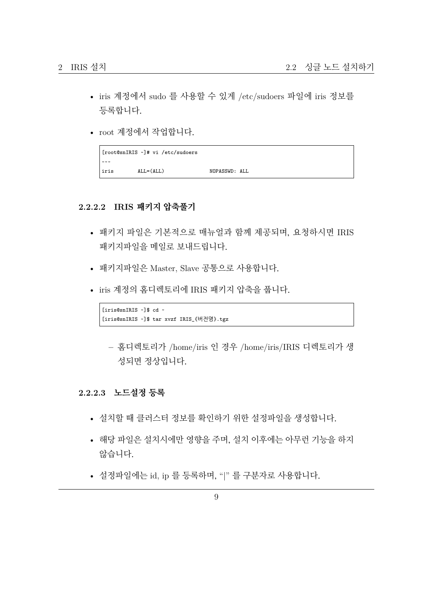- iris 계정에서 sudo 를 사용할 수 있게 /etc/sudoers 파일에 iris 정보를 등록합니다.
- root 계정에서 작업합니다.

```
[root@snIRIS ~]# vi /etc/sudoers
~~~
iris ALL=(ALL) NOPASSWD: ALL
```
#### **2.2.2.2 IRIS 패키지 압축풀기**

- 패키지 파일은 기본적으로 매뉴얼과 함께 제공되며, 요청하시면 IRIS 패키지파일을 메일로 보내드립니다.
- 패키지파일은 Master, Slave 공통으로 사용합니다.
- iris 계정의 홈디렉토리에 IRIS 패키지 압축을 풉니다.

[iris@snIRIS ~]\$ cd ~ [iris@snIRIS ~]\$ tar xvzf IRIS\_{버전명}.tgz

**–** 홈디렉토리가 /home/iris 인 경우 /home/iris/IRIS 디렉토리가 생 성되면 정상입니다.

#### **2.2.2.3 노드설정 등록**

- 설치할 때 클러스터 정보를 확인하기 위한 설정파일을 생성합니다.
- 해당 파일은 설치시에만 영향을 주며, 설치 이후에는 아무런 기능을 하지 않습니다.
- 설정파일에는 id, ip 를 등록하며, "|" 를 구분자로 사용합니다.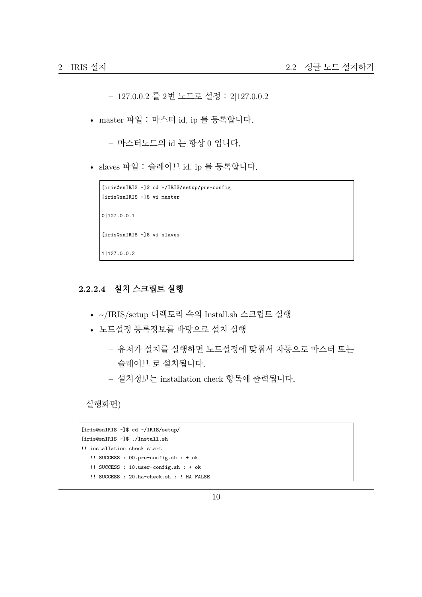**–** 127.0.0.2 를 2번 노드로 설정 : 2|127.0.0.2

• master 파일 : 마스터 id, ip 를 등록합니다.

**–** 마스터노드의 id 는 항상 0 입니다.

• slaves 파일 : 슬레이브 id, ip 를 등록합니다.

```
[iris@snIRIS ~]$ cd ~/IRIS/setup/pre-config
[iris@snIRIS ~]$ vi master
0|127.0.0.1
[iris@snIRIS ~]$ vi slaves
1|127.0.0.2
```
## **2.2.2.4 설치 스크립트 실행**

- ~/IRIS/setup 디렉토리 속의 Install.sh 스크립트 실행
- 노드설정 등록정보를 바탕으로 설치 실행
	- **–** 유저가 설치를 실행하면 노드설정에 맞춰서 자동으로 마스터 또는 슬레이브 로 설치됩니다.
	- **–** 설치정보는 installation check 항목에 출력됩니다.

실행화면)

```
[iris@snIRIS ~]$ cd ~/IRIS/setup/
[iris@snIRIS ~]$ ./Install.sh
!! installation check start
   !! SUCCESS : 00.pre-config.sh : + ok
   !! SUCCESS : 10.user-config.sh : + ok
   !! SUCCESS : 20.ha-check.sh : ! HA FALSE
```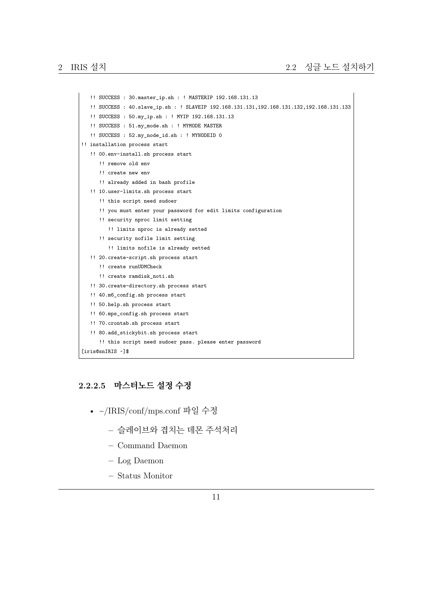```
!! SUCCESS : 30.master_ip.sh : ! MASTERIP 192.168.131.13
   !! SUCCESS : 40.slave_ip.sh : ! SLAVEIP 192.168.131.131,192.168.131.132,192.168.131.133
   !! SUCCESS : 50.my_ip.sh : ! MYIP 192.168.131.13
   !! SUCCESS : 51.my_mode.sh : ! MYMODE MASTER
   !! SUCCESS : 52.my_node_id.sh : ! MYNODEID 0
!! installation process start
   !! 00.env-install.sh process start
      !! remove old env
     !! create new env
     !! already added in bash profile
   !! 10.user-limits.sh process start
      !! this script need sudoer
      !! you must enter your password for edit limits configuration
     !! security nproc limit setting
        !! limits nproc is already setted
      !! security nofile limit setting
         !! limits nofile is already setted
   !! 20.create-script.sh process start
      !! create runUDMCheck
      !! create ramdisk_noti.sh
   !! 30.create-directory.sh process start
   !! 40.m6_config.sh process start
   !! 50.help.sh process start
   !! 60.mps_config.sh process start
   !! 70.crontab.sh process start
   !! 80.add_stickybit.sh process start
      !! this script need sudoer pass. please enter password
[iris@snIRIS ~]$
```
#### **2.2.2.5 마스터노드 설정 수정**

- ~/IRIS/conf/mps.conf 파일 수정
	- **–** 슬레이브와 겹치는 데몬 주석처리
	- **–** Command Daemon
	- **–** Log Daemon
	- **–** Status Monitor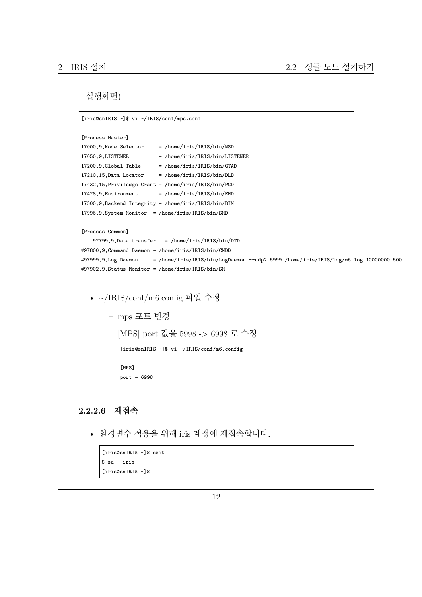실행화면)

```
[iris@snIRIS ~]$ vi ~/IRIS/conf/mps.conf
[Process Master]
17000, 9, Node Selector = /home/iris/IRIS/bin/NSD
17050,9,LISTENER = /home/iris/IRIS/bin/LISTENER
17200, 9, Global Table = /home/iris/IRIS/bin/GTAD
17210, 15, Data Locator = /home/iris/IRIS/bin/DLD
17432,15,Priviledge Grant = /home/iris/IRIS/bin/PGD
17478, 9, Environment = /home/iris/IRIS/bin/EHD
17500,9,Backend Integrity = /home/iris/IRIS/bin/BIM
17996,9,System Monitor = /home/iris/IRIS/bin/SMD
[Process Common]
   97799,9,Data transfer = /home/iris/IRIS/bin/DTD
#97800,9,Command Daemon = /home/iris/IRIS/bin/CMDD
#97999,9,Log Daemon = /home/iris/IRIS/bin/LogDaemon --udp2 5999 /home/iris/IRIS/log/m6.log 10000000 500
#97902,9,Status Monitor = /home/iris/IRIS/bin/SM
```
- ~/IRIS/conf/m6.config 파일 수정
	- **–** mps 포트 변경
	- **–** [MPS] port 값을 5998 -> 6998 로 수정

```
[iris@snIRIS ~]$ vi ~/IRIS/conf/m6.config
[MPS]
port = 6998
```
# **2.2.2.6 재접속**

• 환경변수 적용을 위해 iris 계정에 재접속합니다.

```
[iris@snIRIS ~]$ exit
$ su - iris
[iris@snIRIS ~]$
```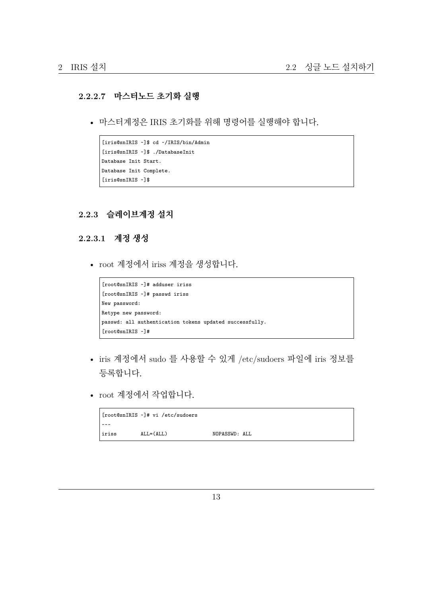#### **2.2.2.7 마스터노드 초기화 실행**

• 마스터계정은 IRIS 초기화를 위해 명령어를 실행해야 합니다.

```
[iris@snIRIS ~]$ cd ~/IRIS/bin/Admin
[iris@snIRIS ~]$ ./DatabaseInit
Database Init Start.
Database Init Complete.
[iris@snIRIS ~]$
```
#### <span id="page-12-0"></span>**2.2.3 슬레이브계정 설치**

#### **2.2.3.1 계정 생성**

• root 계정에서 iriss 계정을 생성합니다.

```
[root@snIRIS ~]# adduser iriss
[root@snIRIS ~]# passwd iriss
New password:
Retype new password:
passwd: all authentication tokens updated successfully.
[root@snIRIS ~]#
```
- iris 계정에서 sudo 를 사용할 수 있게 /etc/sudoers 파일에 iris 정보를 등록합니다.
- root 계정에서 작업합니다.

|                      | [root@snIRIS ~]# vi /etc/sudoers |               |  |
|----------------------|----------------------------------|---------------|--|
| $\sim$ $\sim$ $\sim$ |                                  |               |  |
| iriss                | $ALL = (ALL)$                    | NOPASSWD: ALL |  |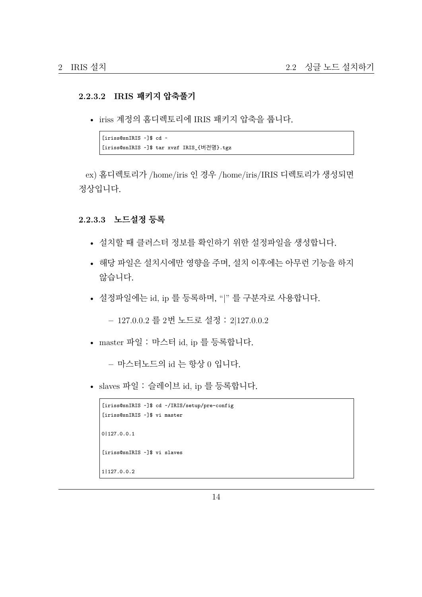#### **2.2.3.2 IRIS 패키지 압축풀기**

• iriss 계정의 홈디렉토리에 IRIS 패키지 압축을 풉니다.

```
[iriss@snIRIS ~]$ cd ~
[iriss@snIRIS ~]$ tar xvzf IRIS_{버전명}.tgz
```
ex) 홈디렉토리가 /home/iris 인 경우 /home/iris/IRIS 디렉토리가 생성되면 정상입니다.

#### **2.2.3.3 노드설정 등록**

- 설치할 때 클러스터 정보를 확인하기 위한 설정파일을 생성합니다.
- 해당 파일은 설치시에만 영향을 주며, 설치 이후에는 아무런 기능을 하지 않습니다.
- 설정파일에는 id, ip 를 등록하며, "|" 를 구분자로 사용합니다.

**–** 127.0.0.2 를 2번 노드로 설정 : 2|127.0.0.2

• master 파일 : 마스터 id, ip 를 등록합니다.

**–** 마스터노드의 id 는 항상 0 입니다.

• slaves 파일 : 슬레이브 id, ip 를 등록합니다.

```
[iriss@snIRIS ~]$ cd ~/IRIS/setup/pre-config
[iriss@snIRIS ~]$ vi master
0|127.0.0.1
[iriss@snIRIS ~]$ vi slaves
1|127.0.0.2
```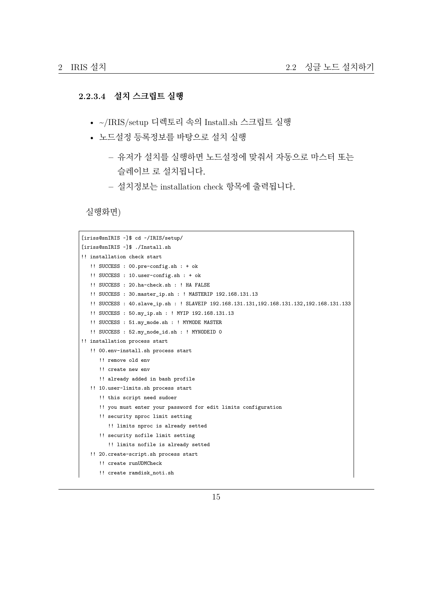#### **2.2.3.4 설치 스크립트 실행**

- ~/IRIS/setup 디렉토리 속의 Install.sh 스크립트 실행
- 노드설정 등록정보를 바탕으로 설치 실행
	- **–** 유저가 설치를 실행하면 노드설정에 맞춰서 자동으로 마스터 또는 슬레이브 로 설치됩니다.
	- **–** 설치정보는 installation check 항목에 출력됩니다.

실행화면)

```
[iriss@snIRIS ~]$ cd ~/IRIS/setup/
[iriss@snIRIS ~]$ ./Install.sh
!! installation check start
   !! SUCCESS : 00.pre-config.sh : + ok
  !! SUCCESS : 10.user-config.sh : + ok
  !! SUCCESS : 20.ha-check.sh : ! HA FALSE
   !! SUCCESS : 30.master_ip.sh : ! MASTERIP 192.168.131.13
   !! SUCCESS : 40.slave_ip.sh : ! SLAVEIP 192.168.131.131,192.168.131.132,192.168.131.133
   !! SUCCESS : 50.my_ip.sh : ! MYIP 192.168.131.13
   !! SUCCESS : 51.my_mode.sh : ! MYMODE MASTER
   !! SUCCESS : 52.my_node_id.sh : ! MYNODEID 0
!! installation process start
   !! 00.env-install.sh process start
     !! remove old env
      !! create new env
     !! already added in bash profile
  !! 10.user-limits.sh process start
      !! this script need sudoer
      !! you must enter your password for edit limits configuration
      !! security nproc limit setting
         !! limits nproc is already setted
     !! security nofile limit setting
        !! limits nofile is already setted
   !! 20.create-script.sh process start
      !! create runUDMCheck
      !! create ramdisk_noti.sh
```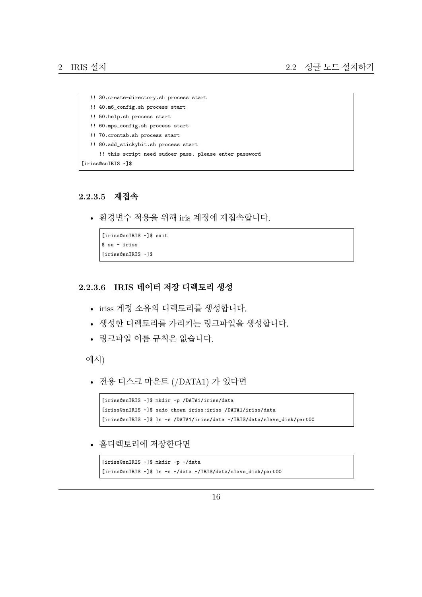```
!! 30.create-directory.sh process start
  !! 40.m6_config.sh process start
  !! 50.help.sh process start
  !! 60.mps_config.sh process start
  !! 70.crontab.sh process start
  !! 80.add_stickybit.sh process start
     !! this script need sudoer pass. please enter password
[iriss@snIRIS ~]$
```
#### **2.2.3.5 재접속**

• 환경변수 적용을 위해 iris 계정에 재접속합니다.

```
[iriss@snIRIS ~]$ exit
$ su - iriss
[iriss@snIRIS ~]$
```
#### **2.2.3.6 IRIS 데이터 저장 디렉토리 생성**

- iriss 계정 소유의 디렉토리를 생성합니다.
- 생성한 디렉토리를 가리키는 링크파일을 생성합니다.
- 링크파일 이름 규칙은 없습니다.

예시)

• 전용 디스크 마운트 (/DATA1) 가 있다면

```
[iriss@snIRIS ~]$ mkdir -p /DATA1/iriss/data
[iriss@snIRIS ~]$ sudo chown iriss:iriss /DATA1/iriss/data
[iriss@snIRIS ~]$ ln -s /DATA1/iriss/data ~/IRIS/data/slave_disk/part00
```
• 홈디렉토리에 저장한다면

```
[iriss@snIRIS ~]$ mkdir -p ~/data
[iriss@snIRIS ~]$ ln -s ~/data ~/IRIS/data/slave_disk/part00
```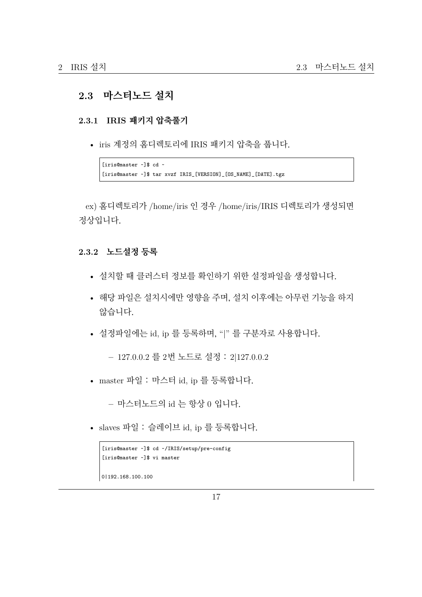# <span id="page-16-0"></span>**2.3 마스터노드 설치**

#### <span id="page-16-1"></span>**2.3.1 IRIS 패키지 압축풀기**

• iris 계정의 홈디렉토리에 IRIS 패키지 압축을 풉니다.

```
[iris@master ~]$ cd ~
[iris@master ~]$ tar xvzf IRIS_[VERSION]_[OS_NAME]_[DATE].tgz
```
ex) 홈디렉토리가 /home/iris 인 경우 /home/iris/IRIS 디렉토리가 생성되면 정상입니다.

#### <span id="page-16-2"></span>**2.3.2 노드설정 등록**

- 설치할 때 클러스터 정보를 확인하기 위한 설정파일을 생성합니다.
- 해당 파일은 설치시에만 영향을 주며, 설치 이후에는 아무런 기능을 하지 않습니다.
- 설정파일에는 id, ip 를 등록하며, "|" 를 구분자로 사용합니다.

**–** 127.0.0.2 를 2번 노드로 설정 : 2|127.0.0.2

• master 파일 : 마스터 id, ip 를 등록합니다.

**–** 마스터노드의 id 는 항상 0 입니다.

• slaves 파일 : 슬레이브 id, ip 를 등록합니다.

```
[iris@master ~]$ cd ~/IRIS/setup/pre-config
[iris@master ~]$ vi master
0|192.168.100.100
```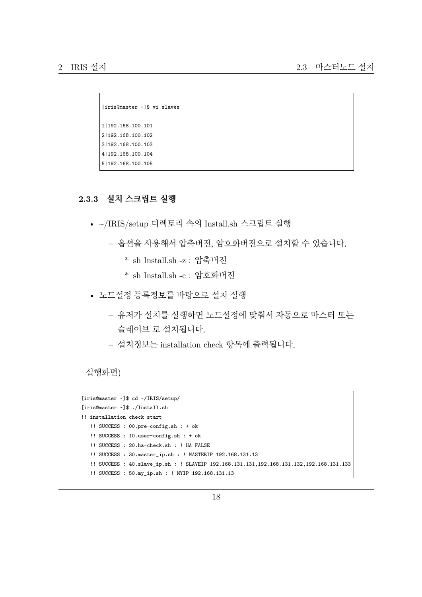```
[iris@master ~]$ vi slaves
1|192.168.100.101
2|192.168.100.102
3|192.168.100.103
4|192.168.100.104
5|192.168.100.105
```
# **2.3.3 설치 스크립트 실행**

- ~/IRIS/setup 디렉토리 속의 Install.sh 스크립트 실행
	- **–** 옵션을 사용해서 압축버전, 암호화버전으로 설치할 수 있습니다.
		- \* sh Install.sh -z : 압축버전
		- \* sh Install.sh -c : 암호화버전
- 노드설정 등록정보를 바탕으로 설치 실행
	- **–** 유저가 설치를 실행하면 노드설정에 맞춰서 자동으로 마스터 또는 슬레이브 로 설치됩니다.
	- **–** 설치정보는 installation check 항목에 출력됩니다.

실행화면)

```
[iris@master ~]$ cd ~/IRIS/setup/
[iris@master ~]$ ./Install.sh
!! installation check start
   !! SUCCESS : 00.pre-config.sh : + ok
  !! SUCCESS : 10.user-config.sh : + ok
   !! SUCCESS : 20.ha-check.sh : ! HA FALSE
   !! SUCCESS : 30.master_ip.sh : ! MASTERIP 192.168.131.13
   !! SUCCESS : 40.slave_ip.sh : ! SLAVEIP 192.168.131.131,192.168.131.132,192.168.131.133
   !! SUCCESS : 50.my_ip.sh : ! MYIP 192.168.131.13
```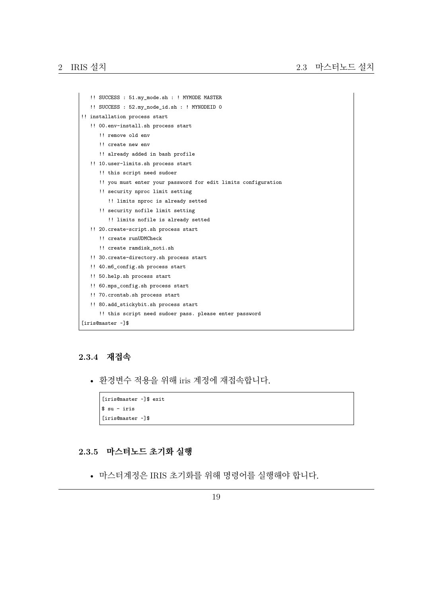```
!! SUCCESS : 51.my_mode.sh : ! MYMODE MASTER
   !! SUCCESS : 52.my_node_id.sh : ! MYNODEID 0
!! installation process start
  !! 00.env-install.sh process start
      !! remove old env
     !! create new env
     !! already added in bash profile
  !! 10.user-limits.sh process start
     !! this script need sudoer
     !! you must enter your password for edit limits configuration
     !! security nproc limit setting
        !! limits nproc is already setted
     !! security nofile limit setting
         !! limits nofile is already setted
   !! 20.create-script.sh process start
     !! create runUDMCheck
     !! create ramdisk_noti.sh
   !! 30.create-directory.sh process start
   !! 40.m6_config.sh process start
   !! 50.help.sh process start
   !! 60.mps_config.sh process start
   !! 70.crontab.sh process start
   !! 80.add_stickybit.sh process start
      !! this script need sudoer pass. please enter password
[iris@master ~]$
```
#### **2.3.4 재접속**

• 환경변수 적용을 위해 iris 계정에 재접속합니다.

```
[iris@master ~]$ exit
$ su - iris
[iris@master ~]$
```
#### <span id="page-18-0"></span>**2.3.5 마스터노드 초기화 실행**

• 마스터계정은 IRIS 초기화를 위해 명령어를 실행해야 합니다.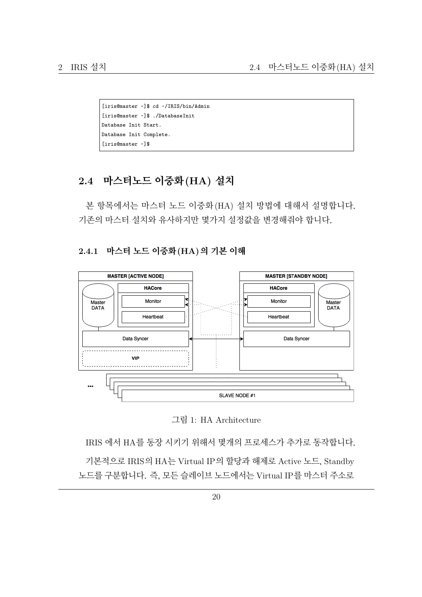```
[iris@master ~]$ cd ~/IRIS/bin/Admin
[iris@master ~]$ ./DatabaseInit
Database Init Start.
Database Init Complete.
[iris@master ~]$
```
# <span id="page-19-0"></span>**2.4 마스터노드 이중화(HA) 설치**

본 항목에서는 마스터 노드 이중화(HA) 설치 방법에 대해서 설명합니다. 기존의 마스터 설치와 유사하지만 몇가지 설정값을 변경해줘야 합니다.

#### <span id="page-19-1"></span>**2.4.1 마스터 노드 이중화(HA)의 기본 이해**





IRIS 에서 HA를 동장 시키기 위해서 몇개의 프로세스가 추가로 동작합니다.

기본적으로 IRIS의 HA는 Virtual IP의 할당과 해제로 Active 노드, Standby 노드를 구분합니다. 즉, 모든 슬레이브 노드에서는 Virtual IP를 마스터 주소로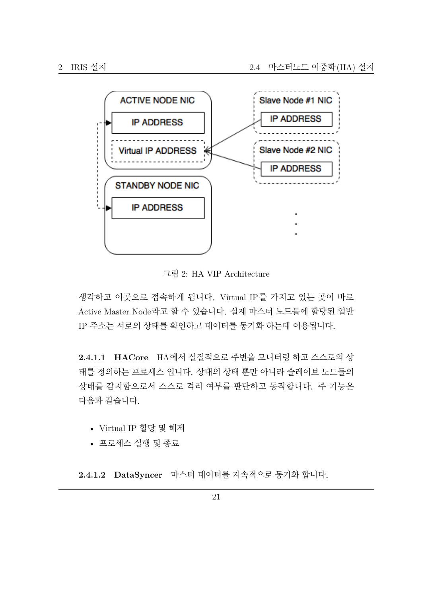

그림 2: HA VIP Architecture

생각하고 이곳으로 접속하게 됩니다. Virtual IP를 가지고 있는 곳이 바로 Active Master Node라고 할 수 있습니다. 실제 마스터 노드들에 할당된 일반 IP 주소는 서로의 상태를 확인하고 데이터를 동기화 하는데 이용됩니다.

**2.4.1.1 HACore** HA에서 실질적으로 주변을 모니터링 하고 스스로의 상 태를 정의하는 프로세스 입니다. 상대의 상태 뿐만 아니라 슬레이브 노드들의 상태를 감지함으로서 스스로 격리 여부를 판단하고 동작합니다. 주 기능은 다음과 같습니다.

- Virtual IP 할당 및 해제
- 프로세스 실행 및 종료

**2.4.1.2 DataSyncer** 마스터 데이터를 지속적으로 동기화 합니다.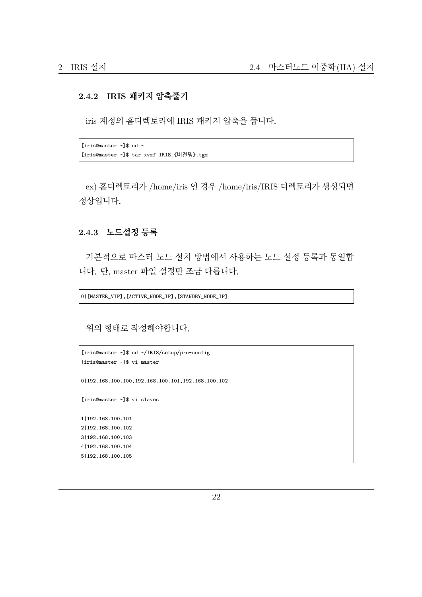#### <span id="page-21-0"></span>**2.4.2 IRIS 패키지 압축풀기**

iris 계정의 홈디렉토리에 IRIS 패키지 압축을 풉니다.

```
[iris@master ~]$ cd ~
[iris@master ~]$ tar xvzf IRIS_{버전명}.tgz
```
ex) 홈디렉토리가 /home/iris 인 경우 /home/iris/IRIS 디렉토리가 생성되면 정상입니다.

#### <span id="page-21-1"></span>**2.4.3 노드설정 등록**

기본적으로 마스터 노드 설치 방법에서 사용하는 노드 설정 등록과 동일합 니다. 단, master 파일 설정만 조금 다릅니다.

0|[MASTER\_VIP],[ACTIVE\_NODE\_IP],[STANDBY\_NODE\_IP]

위의 형태로 작성해야합니다.

```
[iris@master ~]$ cd ~/IRIS/setup/pre-config
[iris@master ~]$ vi master
0|192.168.100.100,192.168.100.101,192.168.100.102
[iris@master ~]$ vi slaves
1|192.168.100.101
2|192.168.100.102
3|192.168.100.103
4|192.168.100.104
5|192.168.100.105
```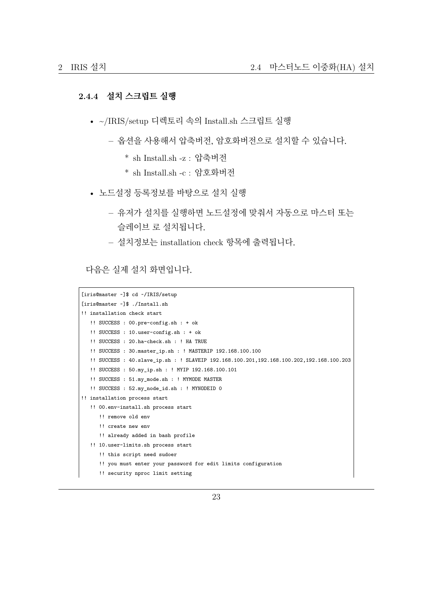#### <span id="page-22-0"></span>**2.4.4 설치 스크립트 실행**

- ~/IRIS/setup 디렉토리 속의 Install.sh 스크립트 실행
	- **–** 옵션을 사용해서 압축버전, 암호화버전으로 설치할 수 있습니다.
		- \* sh Install.sh -z : 압축버전
		- \* sh Install.sh -c : 암호화버전
- 노드설정 등록정보를 바탕으로 설치 실행
	- **–** 유저가 설치를 실행하면 노드설정에 맞춰서 자동으로 마스터 또는 슬레이브 로 설치됩니다.
	- **–** 설치정보는 installation check 항목에 출력됩니다.

다음은 실제 설치 화면입니다.

```
[iris@master ~]$ cd ~/IRIS/setup
[iris@master ~]$ ./Install.sh
!! installation check start
   !! SUCCESS : 00.pre-config.sh : + ok
   !! SUCCESS : 10.user-config.sh : + ok
   !! SUCCESS : 20.ha-check.sh : ! HA TRUE
   !! SUCCESS : 30.master_ip.sh : ! MASTERIP 192.168.100.100
   !! SUCCESS : 40.slave_ip.sh : ! SLAVEIP 192.168.100.201,192.168.100.202,192.168.100.203
   !! SUCCESS : 50.my_ip.sh : ! MYIP 192.168.100.101
   !! SUCCESS : 51.my_mode.sh : ! MYMODE MASTER
   !! SUCCESS : 52.my_node_id.sh : ! MYNODEID 0
!! installation process start
   !! 00.env-install.sh process start
      !! remove old env
      !! create new env
     !! already added in bash profile
   !! 10.user-limits.sh process start
      !! this script need sudoer
      !! you must enter your password for edit limits configuration
      !! security nproc limit setting
```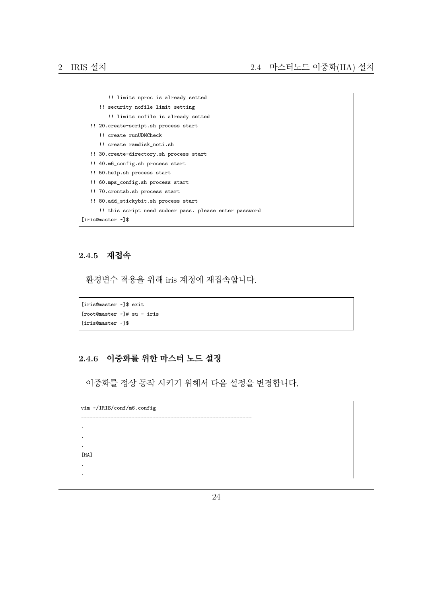```
!! limits nproc is already setted
     !! security nofile limit setting
        !! limits nofile is already setted
  !! 20.create-script.sh process start
     !! create runUDMCheck
     !! create ramdisk_noti.sh
  !! 30.create-directory.sh process start
  !! 40.m6_config.sh process start
  !! 50.help.sh process start
  !! 60.mps_config.sh process start
  !! 70.crontab.sh process start
  !! 80.add_stickybit.sh process start
     !! this script need sudoer pass. please enter password
[iris@master ~]$
```
#### <span id="page-23-0"></span>**2.4.5 재접속**

환경변수 적용을 위해 iris 계정에 재접속합니다.

```
[iris@master ~]$ exit
[root@master ~]# su - iris
[iris@master ~]$
```
#### <span id="page-23-1"></span>**2.4.6 이중화를 위한 마스터 노드 설정**

이중화를 정상 동작 시키기 위해서 다음 설정을 변경합니다.

```
vim ~/IRIS/conf/m6.config
                                                                            ---------------------------------------------------------
.
.
.
[HA]
.
.
```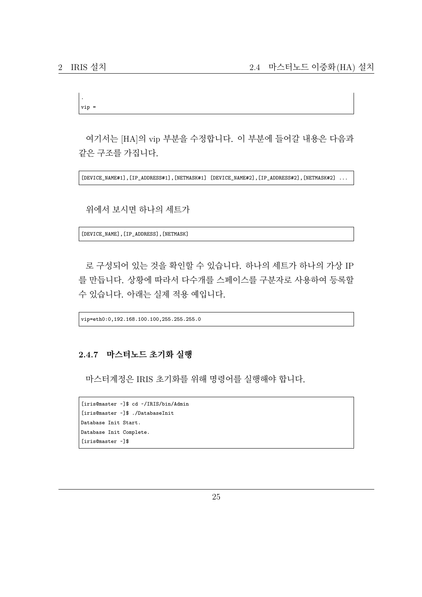2 IRIS 설치 2.4 마스터노드 이중화(HA) 설치

```
.
vip =
```
여기서는 [HA]의 vip 부분을 수정합니다. 이 부분에 들어갈 내용은 다음과 같은 구조를 가집니다.

[DEVICE\_NAME#1],[IP\_ADDRESS#1],[NETMASK#1] [DEVICE\_NAME#2],[IP\_ADDRESS#2],[NETMASK#2] ...

위에서 보시면 하나의 세트가

[DEVICE\_NAME],[IP\_ADDRESS],[NETMASK]

로 구성되어 있는 것을 확인할 수 있습니다. 하나의 세트가 하나의 가상 IP 를 만듭니다. 상황에 따라서 다수개를 스페이스를 구분자로 사용하여 등록할 수 있습니다. 아래는 실제 적용 예입니다.

vip=eth0:0,192.168.100.100,255.255.255.0

#### <span id="page-24-0"></span>**2.4.7 마스터노드 초기화 실행**

마스터계정은 IRIS 초기화를 위해 명령어를 실행해야 합니다.

```
[iris@master ~]$ cd ~/IRIS/bin/Admin
[iris@master ~]$ ./DatabaseInit
Database Init Start.
Database Init Complete.
[iris@master ~]$
```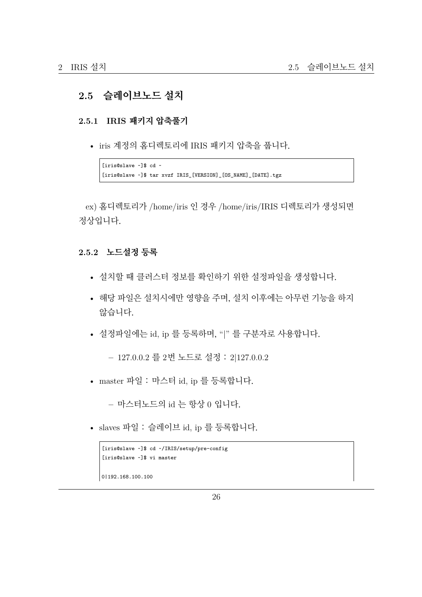# <span id="page-25-0"></span>**2.5 슬레이브노드 설치**

#### <span id="page-25-1"></span>**2.5.1 IRIS 패키지 압축풀기**

• iris 계정의 홈디렉토리에 IRIS 패키지 압축을 풉니다.

```
[iris@slave ~]$ cd ~
[iris@slave ~]$ tar xvzf IRIS_[VERSION]_[OS_NAME]_[DATE].tgz
```
ex) 홈디렉토리가 /home/iris 인 경우 /home/iris/IRIS 디렉토리가 생성되면 정상입니다.

#### <span id="page-25-2"></span>**2.5.2 노드설정 등록**

- 설치할 때 클러스터 정보를 확인하기 위한 설정파일을 생성합니다.
- 해당 파일은 설치시에만 영향을 주며, 설치 이후에는 아무런 기능을 하지 않습니다.
- 설정파일에는 id, ip 를 등록하며, "|" 를 구분자로 사용합니다.

**–** 127.0.0.2 를 2번 노드로 설정 : 2|127.0.0.2

• master 파일 : 마스터 id, ip 를 등록합니다.

**–** 마스터노드의 id 는 항상 0 입니다.

• slaves 파일 : 슬레이브 id, ip 를 등록합니다.

```
[iris@slave ~]$ cd ~/IRIS/setup/pre-config
[iris@slave ~]$ vi master
0|192.168.100.100
```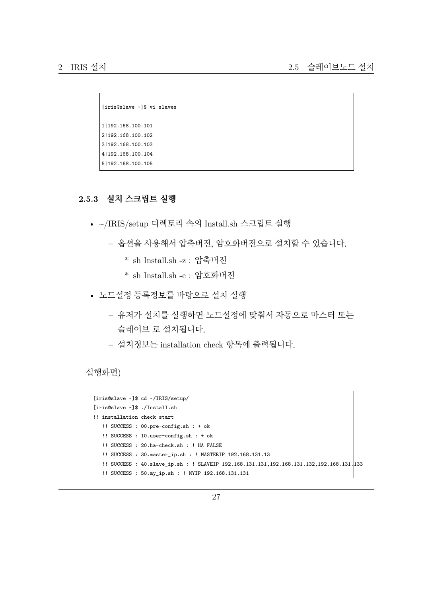```
[iris@slave ~]$ vi slaves
1|192.168.100.101
2|192.168.100.102
3|192.168.100.103
4|192.168.100.104
5|192.168.100.105
```
# <span id="page-26-0"></span>**2.5.3 설치 스크립트 실행**

- ~/IRIS/setup 디렉토리 속의 Install.sh 스크립트 실행
	- **–** 옵션을 사용해서 압축버전, 암호화버전으로 설치할 수 있습니다.
		- \* sh Install.sh -z : 압축버전
		- \* sh Install.sh -c : 암호화버전
- 노드설정 등록정보를 바탕으로 설치 실행
	- **–** 유저가 설치를 실행하면 노드설정에 맞춰서 자동으로 마스터 또는 슬레이브 로 설치됩니다.
	- **–** 설치정보는 installation check 항목에 출력됩니다.

실행화면)

```
[iris@slave ~]$ cd ~/IRIS/setup/
[iris@slave ~]$ ./Install.sh
!! installation check start
  !! SUCCESS : 00.pre-config.sh : + ok
  !! SUCCESS : 10.user-config.sh : + ok
  !! SUCCESS : 20.ha-check.sh : ! HA FALSE
  !! SUCCESS : 30.master_ip.sh : ! MASTERIP 192.168.131.13
  !! SUCCESS : 40.slave_ip.sh : ! SLAVEIP 192.168.131.131,192.168.131.132,192.168.131.133
  !! SUCCESS : 50.my_ip.sh : ! MYIP 192.168.131.131
```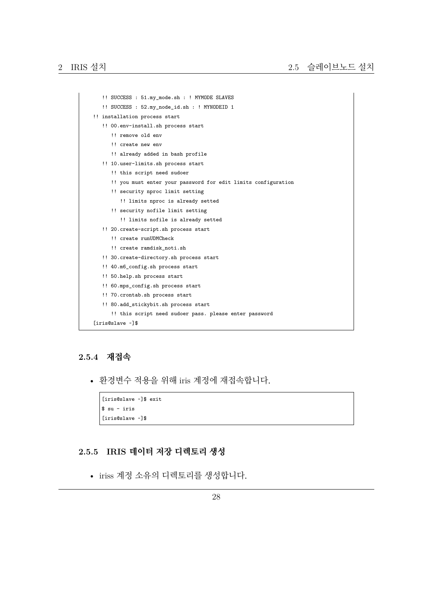```
!! SUCCESS : 51.my_mode.sh : ! MYMODE SLAVES
   !! SUCCESS : 52.my_node_id.sh : ! MYNODEID 1
!! installation process start
  !! 00.env-install.sh process start
      !! remove old env
      !! create new env
      !! already added in bash profile
  !! 10.user-limits.sh process start
      !! this script need sudoer
      !! you must enter your password for edit limits configuration
      !! security nproc limit setting
        !! limits nproc is already setted
      !! security nofile limit setting
         !! limits nofile is already setted
  !! 20.create-script.sh process start
     !! create runUDMCheck
      !! create ramdisk_noti.sh
  !! 30.create-directory.sh process start
  !! 40.m6_config.sh process start
  !! 50.help.sh process start
  !! 60.mps_config.sh process start
  !! 70.crontab.sh process start
   !! 80.add_stickybit.sh process start
      !! this script need sudoer pass. please enter password
[iris@slave ~]$
```
#### <span id="page-27-0"></span>**2.5.4 재접속**

• 환경변수 적용을 위해 iris 계정에 재접속합니다.

```
[iris@slave ~]$ exit
$ su - iris
[iris@slave ~]$
```
#### <span id="page-27-1"></span>**2.5.5 IRIS 데이터 저장 디렉토리 생성**

• iriss 계정 소유의 디렉토리를 생성합니다.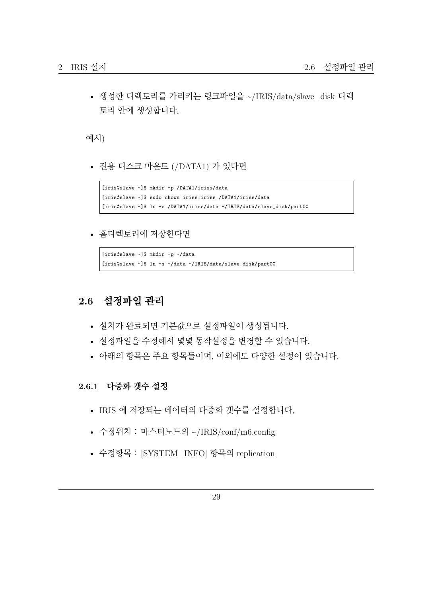• 생성한 디렉토리를 가리키는 링크파일을 ~/IRIS/data/slave\_disk 디렉 토리 안에 생성합니다.

예시)

• 전용 디스크 마운트 (/DATA1) 가 있다면

```
[iris@slave ~]$ mkdir -p /DATA1/iriss/data
[iris@slave ~]$ sudo chown iriss:iriss /DATA1/iriss/data
[iris@slave ~]$ ln -s /DATA1/iriss/data ~/IRIS/data/slave_disk/part00
```
• 홈디렉토리에 저장한다면

```
[iris@slave ~]$ mkdir -p ~/data
[iris@slave ~]$ ln -s ~/data ~/IRIS/data/slave_disk/part00
```
# <span id="page-28-0"></span>**2.6 설정파일 관리**

- 설치가 완료되면 기본값으로 설정파일이 생성됩니다.
- 설정파일을 수정해서 몇몇 동작설정을 변경할 수 있습니다.
- 아래의 항목은 주요 항목들이며, 이외에도 다양한 설정이 있습니다.

<span id="page-28-1"></span>**2.6.1 다중화 갯수 설정**

- IRIS 에 저장되는 데이터의 다중화 갯수를 설정합니다.
- 수정위치 : 마스터노드의 ~/IRIS/conf/m6.config
- 수정항목 : [SYSTEM INFO] 항목의 replication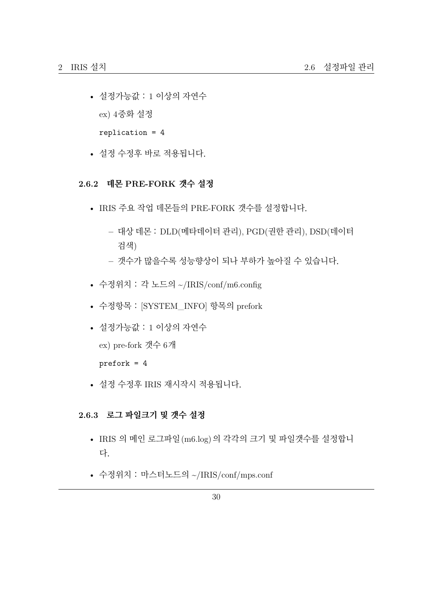- 설정가능값 : 1 이상의 자연수 ex) 4중화 설정 replication = 4
- 설정 수정후 바로 적용됩니다.

#### <span id="page-29-0"></span>**2.6.2 데몬 PRE-FORK 갯수 설정**

- IRIS 주요 작업 데몬들의 PRE-FORK 갯수를 설정합니다.
	- **–** 대상 데몬 : DLD(메타데이터 관리), PGD(권한 관리), DSD(데이터 검색)
	- **–** 갯수가 많을수록 성능향상이 되나 부하가 높아질 수 있습니다.
- 수정위치 : 각 노드의 ~/IRIS/conf/m6.config
- 수정항목 : [SYSTEM\_INFO] 항목의 prefork
- 설정가능값 : 1 이상의 자연수 ex) pre-fork 갯수 6개 prefork = 4
- 설정 수정후 IRIS 재시작시 적용됩니다.

#### <span id="page-29-1"></span>**2.6.3 로그 파일크기 및 갯수 설정**

- IRIS 의 메인 로그파일(m6.log)의 각각의 크기 및 파일갯수를 설정합니 다.
- 수정위치 : 마스터노드의 ~/IRIS/conf/mps.conf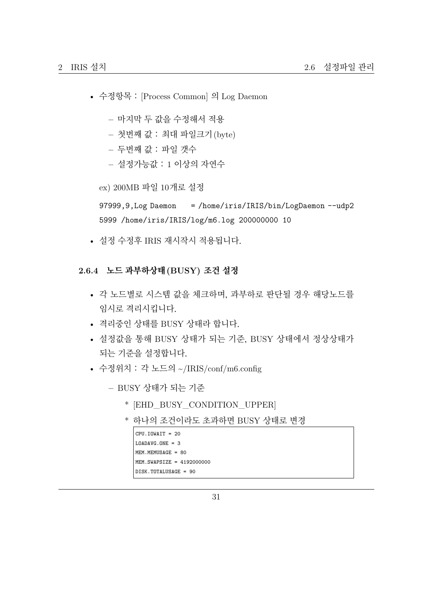- 수정항목 : [Process Common] 의 Log Daemon
	- **–** 마지막 두 값을 수정해서 적용
	- **–** 첫번째 값 : 최대 파일크기(byte)
	- **–** 두번째 값 : 파일 갯수
	- **–** 설정가능값 : 1 이상의 자연수

ex) 200MB 파일 10개로 설정

97999,9,Log Daemon = /home/iris/IRIS/bin/LogDaemon --udp2 5999 /home/iris/IRIS/log/m6.log 200000000 10

• 설정 수정후 IRIS 재시작시 적용됩니다.

#### **2.6.4 노드 과부하상태(BUSY) 조건 설정**

- 각 노드별로 시스템 값을 체크하며, 과부하로 판단될 경우 해당노드를 임시로 격리시킵니다.
- 격리중인 상태를 BUSY 상태라 합니다.
- 설정값을 통해 BUSY 상태가 되는 기준, BUSY 상태에서 정상상태가 되는 기준을 설정합니다.
- 수정위치 : 각 노드의 ~/IRIS/conf/m6.config
	- **–** BUSY 상태가 되는 기준
		- \* [EHD\_BUSY\_CONDITION\_UPPER]
		- \* 하나의 조건이라도 초과하면 BUSY 상태로 변경

```
CPU.IOWAIT = 20
LOADAVG.ONE = 3
MEM.MEMUSAGE = 80
MEM.SWAPSIZE = 4192000000
DISK.TOTALUSAGE = 90
```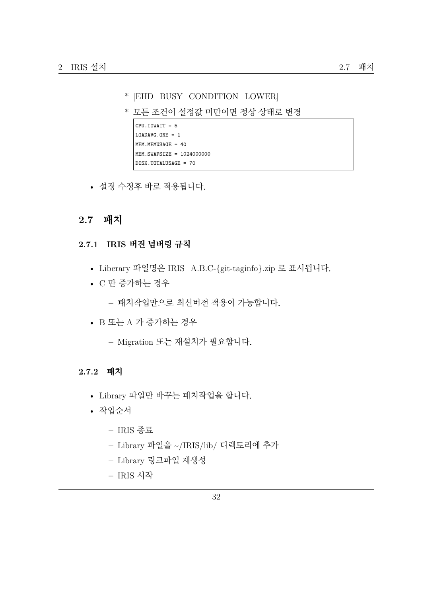- \* [EHD\_BUSY\_CONDITION\_LOWER]
- \* 모든 조건이 설정값 미만이면 정상 상태로 변경

```
CPU.IOWAIT = 5
LOADAVG.ONE = 1
MEM.MEMUSAGE = 40
MEM.SWAPSIZE = 1024000000
DISK.TOTALUSAGE = 70
```
• 설정 수정후 바로 적용됩니다.

# **2.7 패치**

#### **2.7.1 IRIS 버전 넘버링 규칙**

- Liberary 파일명은 IRIS\_A.B.C-{git-taginfo}.zip 로 표시됩니다.
- C 만 증가하는 경우

**–** 패치작업만으로 최신버전 적용이 가능합니다.

• B 또는 A 가 증가하는 경우

**–** Migration 또는 재설치가 필요합니다.

#### **2.7.2 패치**

- Library 파일만 바꾸는 패치작업을 합니다.
- 작업순서
	- **–** IRIS 종료
	- **–** Library 파일을 ~/IRIS/lib/ 디렉토리에 추가
	- **–** Library 링크파일 재생성
	- **–** IRIS 시작